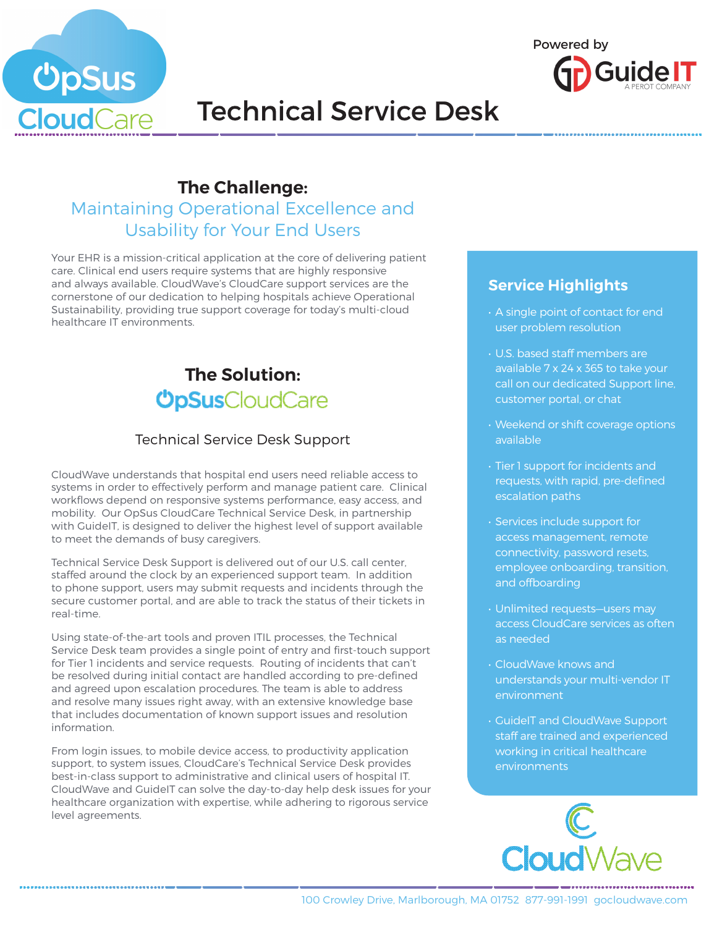



# Technical Service Desk

## **The Challenge:**

## Maintaining Operational Excellence and Usability for Your End Users

Your EHR is a mission-critical application at the core of delivering patient care. Clinical end users require systems that are highly responsive and always available. CloudWave's CloudCare support services are the cornerstone of our dedication to helping hospitals achieve Operational Sustainability, providing true support coverage for today's multi-cloud healthcare IT environments.

# **The Solution: ÜpSus**CloudCare

### Technical Service Desk Support

CloudWave understands that hospital end users need reliable access to systems in order to effectively perform and manage patient care. Clinical workflows depend on responsive systems performance, easy access, and mobility. Our OpSus CloudCare Technical Service Desk, in partnership with GuideIT, is designed to deliver the highest level of support available to meet the demands of busy caregivers.

Technical Service Desk Support is delivered out of our U.S. call center, staffed around the clock by an experienced support team. In addition to phone support, users may submit requests and incidents through the secure customer portal, and are able to track the status of their tickets in real-time.

Using state-of-the-art tools and proven ITIL processes, the Technical Service Desk team provides a single point of entry and first-touch support for Tier 1 incidents and service requests. Routing of incidents that can't be resolved during initial contact are handled according to pre-defined and agreed upon escalation procedures. The team is able to address and resolve many issues right away, with an extensive knowledge base that includes documentation of known support issues and resolution information.

From login issues, to mobile device access, to productivity application support, to system issues, CloudCare's Technical Service Desk provides best-in-class support to administrative and clinical users of hospital IT. CloudWave and GuideIT can solve the day-to-day help desk issues for your healthcare organization with expertise, while adhering to rigorous service level agreements.

### **Service Highlights**

- A single point of contact for end user problem resolution
- U.S. based staff members are available 7 x 24 x 365 to take your call on our dedicated Support line, customer portal, or chat
- Weekend or shift coverage options available
- Tier 1 support for incidents and requests, with rapid, pre-defined escalation paths
- Services include support for access management, remote connectivity, password resets, employee onboarding, transition, and offboarding
- Unlimited requests—users may access CloudCare services as often as needed
- CloudWave knows and understands your multi-vendor IT environment
- GuideIT and CloudWave Support staff are trained and experienced working in critical healthcare environments